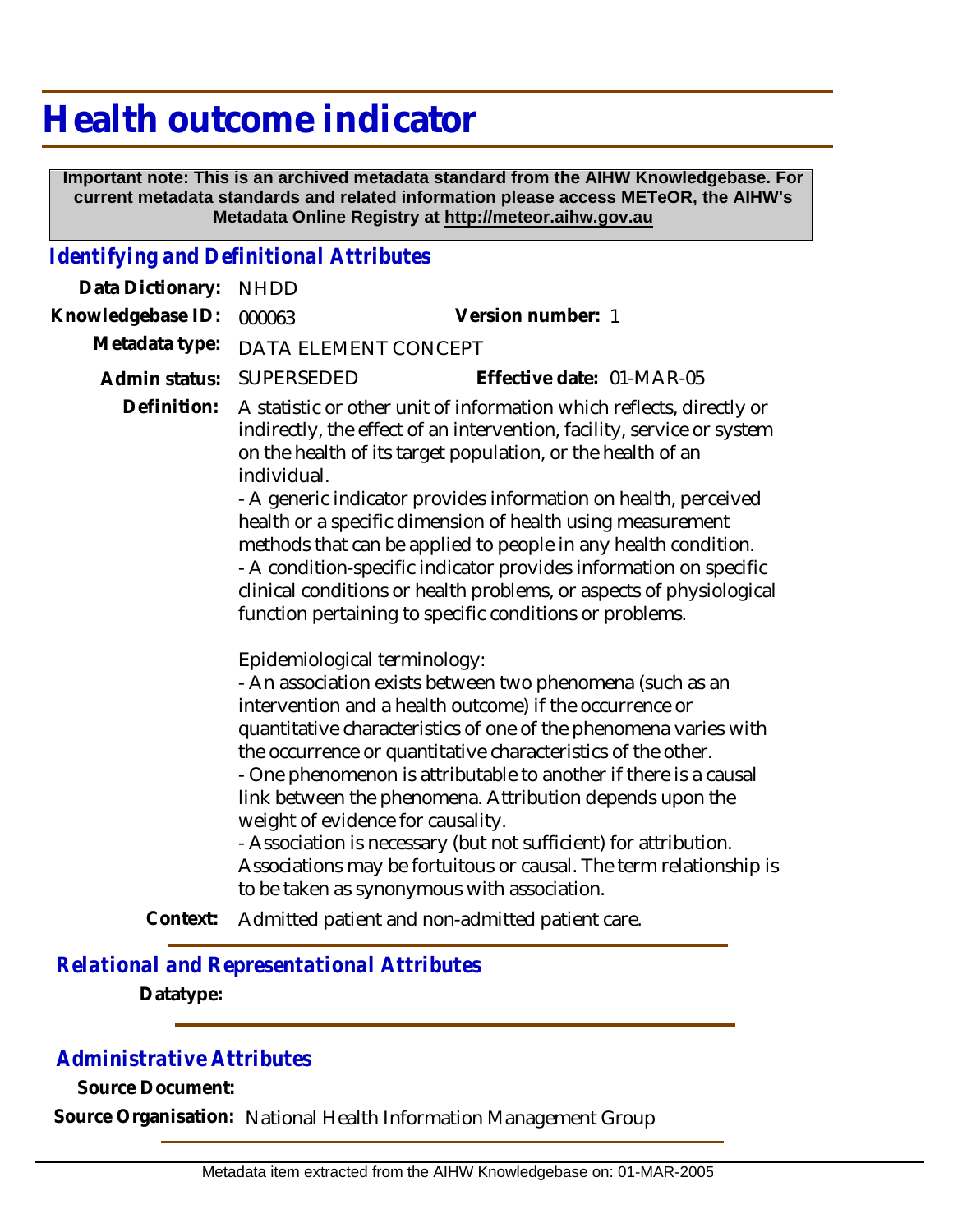# **Health outcome indicator**

 **Important note: This is an archived metadata standard from the AIHW Knowledgebase. For current metadata standards and related information please access METeOR, the AIHW's Metadata Online Registry at http://meteor.aihw.gov.au**

#### *Identifying and Definitional Attributes*

| Data Dictionary:  | <b>NHDD</b>                                                                                                                                                                                                                                                                                                                                                                                                                                                                                                                                                                                                                            |                                                                                                                                                                                                                                                                                                                                                                                                                                                                                                                                                                                                                                                        |
|-------------------|----------------------------------------------------------------------------------------------------------------------------------------------------------------------------------------------------------------------------------------------------------------------------------------------------------------------------------------------------------------------------------------------------------------------------------------------------------------------------------------------------------------------------------------------------------------------------------------------------------------------------------------|--------------------------------------------------------------------------------------------------------------------------------------------------------------------------------------------------------------------------------------------------------------------------------------------------------------------------------------------------------------------------------------------------------------------------------------------------------------------------------------------------------------------------------------------------------------------------------------------------------------------------------------------------------|
| Knowledgebase ID: | 000063                                                                                                                                                                                                                                                                                                                                                                                                                                                                                                                                                                                                                                 | Version number: 1                                                                                                                                                                                                                                                                                                                                                                                                                                                                                                                                                                                                                                      |
| Metadata type:    | DATA ELEMENT CONCEPT                                                                                                                                                                                                                                                                                                                                                                                                                                                                                                                                                                                                                   |                                                                                                                                                                                                                                                                                                                                                                                                                                                                                                                                                                                                                                                        |
| Admin status:     | SUPERSEDED                                                                                                                                                                                                                                                                                                                                                                                                                                                                                                                                                                                                                             | Effective date: 01-MAR-05                                                                                                                                                                                                                                                                                                                                                                                                                                                                                                                                                                                                                              |
| Definition:       | A statistic or other unit of information which reflects, directly or<br>indirectly, the effect of an intervention, facility, service or system<br>on the health of its target population, or the health of an<br>individual.<br>- A generic indicator provides information on health, perceived<br>health or a specific dimension of health using measurement<br>methods that can be applied to people in any health condition.<br>- A condition-specific indicator provides information on specific<br>clinical conditions or health problems, or aspects of physiological<br>function pertaining to specific conditions or problems. |                                                                                                                                                                                                                                                                                                                                                                                                                                                                                                                                                                                                                                                        |
|                   |                                                                                                                                                                                                                                                                                                                                                                                                                                                                                                                                                                                                                                        | Epidemiological terminology:<br>- An association exists between two phenomena (such as an<br>intervention and a health outcome) if the occurrence or<br>quantitative characteristics of one of the phenomena varies with<br>the occurrence or quantitative characteristics of the other.<br>- One phenomenon is attributable to another if there is a causal<br>link between the phenomena. Attribution depends upon the<br>weight of evidence for causality.<br>- Association is necessary (but not sufficient) for attribution.<br>Associations may be fortuitous or causal. The term relationship is<br>to be taken as synonymous with association. |
|                   |                                                                                                                                                                                                                                                                                                                                                                                                                                                                                                                                                                                                                                        | A disable at on the same disagree and the disable at a specific response                                                                                                                                                                                                                                                                                                                                                                                                                                                                                                                                                                               |

**Context:** Admitted patient and non-admitted patient care.

### *Relational and Representational Attributes* **Datatype:**

### *Administrative Attributes*

**Source Document:**

**Source Organisation:** National Health Information Management Group